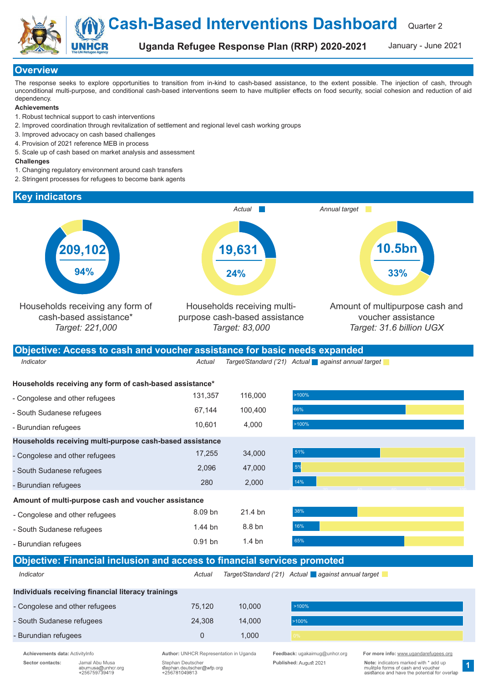Quarter 2 Cash-Based Interventions Dashboard

Uganda Refugee Response Plan (RRP) 2020-2021

January - June 2021

# **Overview**

The response seeks to explore opportunities to transition from in-kind to cash-based assistance, to the extent possible. The injection of cash, through unconditional multi-purpose, and conditional cash-based interventions seem to have multiplier effects on food security, social cohesion and reduction of aid dependency.

### **Achievements**

- 1. Robust technical support to cash interventions
- 2. Improved coordination through revitalization of settlement and regional level cash working groups
- 3. Improved advocacy on cash based challenges
- 4. Provision of 2021 reference MEB in process
- 5. Scale up of cash based on market analysis and assessment

#### **Challenges**

- 1. Changing regulatory environment around cash transfers
- 2. Stringent processes for refugees to become bank agents

### Key indicators



0 20 40 60 80 100

1

Individuals receiving financial literacy trainings

- Congolese and other refugees - South Sudanese refugees

- Burundian refugees

- Congolese and other refugees - South Sudanese refugees - Burundian refugees

Households receiving multi-purpose cash-based assistance - Congolese and other refugees - South Sudanese refugees - Burundian refugees

Amount of multi-purpose cash and voucher assistance

Sector contacts: Jamal Abu Musa Stephan Deutscher Stephan Deutscher Stephan Deutscher Published: August 2021 Note: indicators marked with \* add up<br>abumusa@unhcr.org stephan.deutscher @wfp.org Published: August 2021 asistan

Indicator **Actual Target/Standard ('21)** Actual against annual target

8.09 bn 1.44 bn 0.91 bn

Objective: Financial inclusion and access to financial services promoted

1.000

21.4 bn 8.8 bn 1.4 bn

**1,000** мартина в области в серверо в серверо в серверо в серверо в серверо в серверо в серверо в серверо в се

10,000 75,120 14,000 24,308

>100% >100%

17,255 34,000 51% 34,000 51% 35 and 35 and 34,000 51% 35 and 35 and 35 and 35 and 36 and 36 and 36 and 36 and 47,000 2,096 2,000 280

51% 5%

14%

38% 16%  $65%$ 

Achievements data: ActivityInfo **Author: UNHCR Representation in Uganda** Feedback: ugakaimug@unhcr.org For more info: www.ugandarefugees.org Formore info: www.ugandarefugees.org